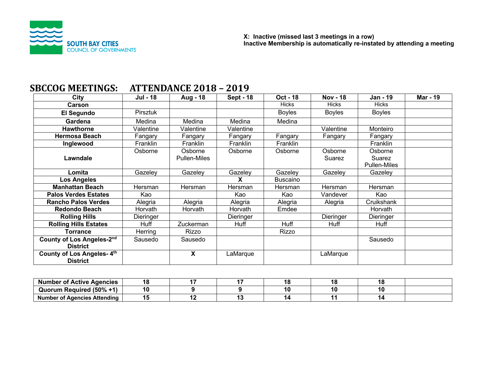

| ,,,,,,,,,,,,,,,,,                            | 1 11 12 13 14 15 17 18 |                                |                  |                 |                   |                                          |                 |
|----------------------------------------------|------------------------|--------------------------------|------------------|-----------------|-------------------|------------------------------------------|-----------------|
| City                                         | <b>Jul - 18</b>        | Aug - 18                       | <b>Sept - 18</b> | <b>Oct - 18</b> | <b>Nov - 18</b>   | <b>Jan - 19</b>                          | <b>Mar - 19</b> |
| <b>Carson</b>                                |                        |                                |                  | <b>Hicks</b>    | <b>Hicks</b>      | <b>Hicks</b>                             |                 |
| El Segundo                                   | Pirsztuk               |                                |                  | <b>Boyles</b>   | <b>Boyles</b>     | <b>Boyles</b>                            |                 |
| Gardena                                      | Medina                 | Medina                         | Medina           | Medina          |                   |                                          |                 |
| <b>Hawthorne</b>                             | Valentine              | Valentine                      | Valentine        |                 | Valentine         | Monteiro                                 |                 |
| <b>Hermosa Beach</b>                         | Fangary                | Fangary                        | Fangary          | Fangary         | Fangary           | Fangary                                  |                 |
| Inglewood                                    | Franklin               | Franklin                       | Franklin         | Franklin        |                   | Franklin                                 |                 |
| Lawndale                                     | Osborne                | Osborne<br><b>Pullen-Miles</b> | Osborne          | Osborne         | Osborne<br>Suarez | Osborne<br>Suarez<br><b>Pullen-Miles</b> |                 |
| Lomita                                       | Gazeley                | Gazeley                        | Gazeley          | Gazeley         | Gazeley           | Gazeley                                  |                 |
| <b>Los Angeles</b>                           |                        |                                | X                | Buscaino        |                   |                                          |                 |
| <b>Manhattan Beach</b>                       | Hersman                | Hersman                        | Hersman          | Hersman         | Hersman           | Hersman                                  |                 |
| <b>Palos Verdes Estates</b>                  | Kao                    |                                | Kao              | Kao             | Vandever          | Kao                                      |                 |
| <b>Rancho Palos Verdes</b>                   | Alegria                | Alegria                        | Alegria          | Alegria         | Alegria           | Cruikshank                               |                 |
| <b>Redondo Beach</b>                         | Horvath                | Horvath                        | Horvath          | Emdee           |                   | Horvath                                  |                 |
| <b>Rolling Hills</b>                         | Dieringer              |                                | Dieringer        |                 | Dieringer         | Dieringer                                |                 |
| <b>Rolling Hills Estates</b>                 | Huff                   | Zuckerman                      | Huff             | Huff            | Huff              | Huff                                     |                 |
| <b>Torrance</b>                              | Herring                | Rizzo                          |                  | Rizzo           |                   |                                          |                 |
| County of Los Angeles-2nd<br><b>District</b> | Sausedo                | Sausedo                        |                  |                 |                   | Sausedo                                  |                 |
| County of Los Angeles-4th<br><b>District</b> |                        | X                              | LaMarque         |                 | LaMarque          |                                          |                 |

# **SBCCOG MEETINGS: ATTENDANCE 2018 - 2019**

| <b>Number</b><br><sup>.</sup> Active Agencies<br>οt | ١a |  |    |  |
|-----------------------------------------------------|----|--|----|--|
| <b>Required (50%</b><br>.<br>Juorum                 | 10 |  | ιu |  |
| <b>Number of Agencies Attending</b>                 |    |  |    |  |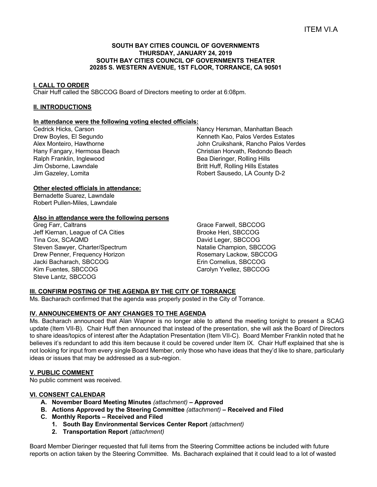#### **SOUTH BAY CITIES COUNCIL OF GOVERNMENTS THURSDAY, JANUARY 24, 2019 SOUTH BAY CITIES COUNCIL OF GOVERNMENTS THEATER 20285 S. WESTERN AVENUE, 1ST FLOOR, TORRANCE, CA 90501**

#### **I. CALL TO ORDER**

Chair Huff called the SBCCOG Board of Directors meeting to order at 6:08pm.

#### **II. INTRODUCTIONS**

#### **In attendance were the following voting elected officials:**

Cedrick Hicks, Carson Drew Boyles, El Segundo Alex Monteiro, Hawthorne Hany Fangary, Hermosa Beach Ralph Franklin, Inglewood Jim Osborne, Lawndale Jim Gazeley, Lomita

Nancy Hersman, Manhattan Beach Kenneth Kao, Palos Verdes Estates John Cruikshank, Rancho Palos Verdes Christian Horvath, Redondo Beach Bea Dieringer, Rolling Hills Britt Huff, Rolling Hills Estates Robert Sausedo, LA County D-2

#### **Other elected officials in attendance:**

Bernadette Suarez, Lawndale Robert Pullen-Miles, Lawndale

#### **Also in attendance were the following persons**

Greg Farr, Caltrans Jeff Kiernan, League of CA Cities Tina Cox, SCAQMD Steven Sawyer, Charter/Spectrum Drew Penner, Frequency Horizon Jacki Bacharach, SBCCOG Kim Fuentes, SBCCOG Steve Lantz, SBCCOG

Grace Farwell, SBCCOG Brooke Heri, SBCCOG David Leger, SBCCOG Natalie Champion, SBCCOG Rosemary Lackow, SBCCOG Erin Cornelius, SBCCOG Carolyn Yvellez, SBCCOG

## **III. CONFIRM POSTING OF THE AGENDA BY THE CITY OF TORRANCE**

Ms. Bacharach confirmed that the agenda was properly posted in the City of Torrance.

## **IV. ANNOUNCEMENTS OF ANY CHANGES TO THE AGENDA**

Ms. Bacharach announced that Alan Wapner is no longer able to attend the meeting tonight to present a SCAG update (Item VII-B). Chair Huff then announced that instead of the presentation, she will ask the Board of Directors to share ideas/topics of interest after the Adaptation Presentation (Item VII-C). Board Member Franklin noted that he believes it's redundant to add this item because it could be covered under Item IX. Chair Huff explained that she is not looking for input from every single Board Member, only those who have ideas that they'd like to share, particularly ideas or issues that may be addressed as a sub-region.

## **V. PUBLIC COMMENT**

No public comment was received.

#### **VI. CONSENT CALENDAR**

- **A. November Board Meeting Minutes** *(attachment) –* **Approved**
- **B. Actions Approved by the Steering Committee** *(attachment)* **– Received and Filed**
- **C. Monthly Reports – Received and Filed**
	- **1. South Bay Environmental Services Center Report** *(attachment)*
	- **2. Transportation Report** *(attachment)*

Board Member Dieringer requested that full items from the Steering Committee actions be included with future reports on action taken by the Steering Committee. Ms. Bacharach explained that it could lead to a lot of wasted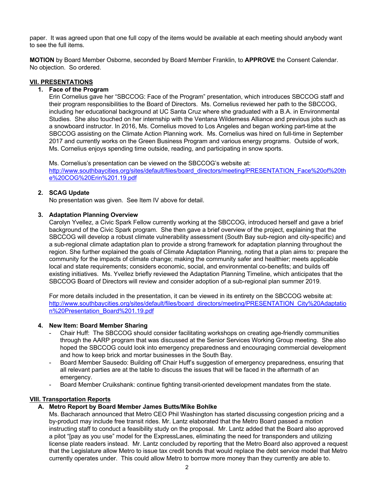paper. It was agreed upon that one full copy of the items would be available at each meeting should anybody want to see the full items.

**MOTION** by Board Member Osborne, seconded by Board Member Franklin, to **APPROVE** the Consent Calendar. No objection. So ordered.

#### **VII. PRESENTATIONS**

### **1. Face of the Program**

Erin Cornelius gave her "SBCCOG: Face of the Program" presentation, which introduces SBCCOG staff and their program responsibilities to the Board of Directors. Ms. Cornelius reviewed her path to the SBCCOG, including her educational background at UC Santa Cruz where she graduated with a B.A. in Environmental Studies. She also touched on her internship with the Ventana Wilderness Alliance and previous jobs such as a snowboard instructor. In 2016, Ms. Cornelius moved to Los Angeles and began working part-time at the SBCCOG assisting on the Climate Action Planning work. Ms. Cornelius was hired on full-time in September 2017 and currently works on the Green Business Program and various energy programs. Outside of work, Ms. Cornelius enjoys spending time outside, reading, and participating in snow sports.

Ms. Cornelius's presentation can be viewed on the SBCCOG's website at: http://www.southbaycities.org/sites/default/files/board\_directors/meeting/PRESENTATION\_Face%20of%20th e%20COG%20Erin%201.19.pdf

#### **2. SCAG Update**

No presentation was given. See Item IV above for detail.

#### **3. Adaptation Planning Overview**

Carolyn Yvellez, a Civic Spark Fellow currently working at the SBCCOG, introduced herself and gave a brief background of the Civic Spark program. She then gave a brief overview of the project, explaining that the SBCCOG will develop a robust climate vulnerability assessment (South Bay sub-region and city-specific) and a sub-regional climate adaptation plan to provide a strong framework for adaptation planning throughout the region. She further explained the goals of Climate Adaptation Planning, noting that a plan aims to: prepare the community for the impacts of climate change; making the community safer and healthier; meets applicable local and state requirements; considers economic, social, and environmental co-benefits; and builds off existing initiatives. Ms. Yvellez briefly reviewed the Adaptation Planning Timeline, which anticipates that the SBCCOG Board of Directors will review and consider adoption of a sub-regional plan summer 2019.

For more details included in the presentation, it can be viewed in its entirety on the SBCCOG website at: http://www.southbaycities.org/sites/default/files/board\_directors/meeting/PRESENTATION\_City%20Adaptatio n%20Presentation\_Board%201.19.pdf

#### **4. New Item: Board Member Sharing**

- Chair Huff: The SBCCOG should consider facilitating workshops on creating age-friendly communities through the AARP program that was discussed at the Senior Services Working Group meeting. She also hoped the SBCCOG could look into emergency preparedness and encouraging commercial development and how to keep brick and mortar businesses in the South Bay.
- Board Member Sausedo: Building off Chair Huff's suggestion of emergency preparedness, ensuring that all relevant parties are at the table to discuss the issues that will be faced in the aftermath of an emergency.
- Board Member Cruikshank: continue fighting transit-oriented development mandates from the state.

## **VIII. Transportation Reports**

## **A. Metro Report by Board Member James Butts/Mike Bohlke**

Ms. Bacharach announced that Metro CEO Phil Washington has started discussing congestion pricing and a by-product may include free transit rides. Mr. Lantz elaborated that the Metro Board passed a motion instructing staff to conduct a feasibility study on the proposal. Mr. Lantz added that the Board also approved a pilot "[pay as you use" model for the ExpressLanes, eliminating the need for transponders and utilizing license plate readers instead. Mr. Lantz concluded by reporting that the Metro Board also approved a request that the Legislature allow Metro to issue tax credit bonds that would replace the debt service model that Metro currently operates under. This could allow Metro to borrow more money than they currently are able to.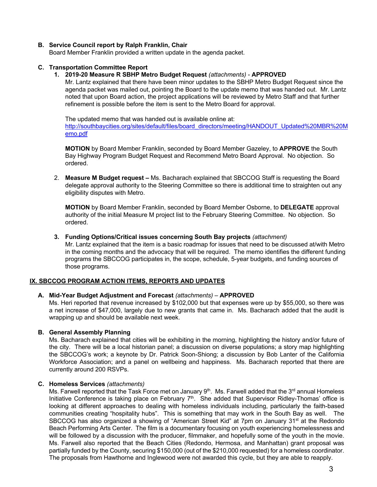## **B. Service Council report by Ralph Franklin, Chair**

Board Member Franklin provided a written update in the agenda packet.

#### **C. Transportation Committee Report**

#### **1. 2019-20 Measure R SBHP Metro Budget Request** *(attachments)* - **APPROVED**

Mr. Lantz explained that there have been minor updates to the SBHP Metro Budget Request since the agenda packet was mailed out, pointing the Board to the update memo that was handed out. Mr. Lantz noted that upon Board action, the project applications will be reviewed by Metro Staff and that further refinement is possible before the item is sent to the Metro Board for approval.

The updated memo that was handed out is available online at:

http://southbaycities.org/sites/default/files/board\_directors/meeting/HANDOUT\_Updated%20MBR%20M emo.pdf

**MOTION** by Board Member Franklin, seconded by Board Member Gazeley, to **APPROVE** the South Bay Highway Program Budget Request and Recommend Metro Board Approval. No objection. So ordered.

2. **Measure M Budget request –** Ms. Bacharach explained that SBCCOG Staff is requesting the Board delegate approval authority to the Steering Committee so there is additional time to straighten out any eligibility disputes with Metro.

**MOTION** by Board Member Franklin, seconded by Board Member Osborne, to **DELEGATE** approval authority of the initial Measure M project list to the February Steering Committee. No objection. So ordered.

#### **3. Funding Options/Critical issues concerning South Bay projects** *(attachment)*

Mr. Lantz explained that the item is a basic roadmap for issues that need to be discussed at/with Metro in the coming months and the advocacy that will be required. The memo identifies the different funding programs the SBCCOG participates in, the scope, schedule, 5-year budgets, and funding sources of those programs.

#### **IX. SBCCOG PROGRAM ACTION ITEMS, REPORTS AND UPDATES**

#### **A. Mid-Year Budget Adjustment and Forecast** *(attachments)* – **APPROVED**

Ms. Heri reported that revenue increased by \$102,000 but that expenses were up by \$55,000, so there was a net increase of \$47,000, largely due to new grants that came in. Ms. Bacharach added that the audit is wrapping up and should be available next week.

#### **B. General Assembly Planning**

Ms. Bacharach explained that cities will be exhibiting in the morning, highlighting the history and/or future of the city. There will be a local historian panel; a discussion on diverse populations; a story map highlighting the SBCCOG's work; a keynote by Dr. Patrick Soon-Shiong; a discussion by Bob Lanter of the California Workforce Association; and a panel on wellbeing and happiness. Ms. Bacharach reported that there are currently around 200 RSVPs.

#### **C. Homeless Services** *(attachments)*

Ms. Farwell reported that the Task Force met on January  $9<sup>th</sup>$ . Ms. Farwell added that the  $3<sup>rd</sup>$  annual Homeless Initiative Conference is taking place on February 7<sup>th</sup>. She added that Supervisor Ridley-Thomas' office is looking at different approaches to dealing with homeless individuals including, particularly the faith-based communities creating "hospitality hubs". This is something that may work in the South Bay as well. The SBCCOG has also organized a showing of "American Street Kid" at 7pm on January 31<sup>st</sup> at the Redondo Beach Performing Arts Center. The film is a documentary focusing on youth experiencing homelessness and will be followed by a discussion with the producer, filmmaker, and hopefully some of the youth in the movie. Ms. Farwell also reported that the Beach Cities (Redondo, Hermosa, and Manhattan) grant proposal was partially funded by the County, securing \$150,000 (out of the \$210,000 requested) for a homeless coordinator. The proposals from Hawthorne and Inglewood were not awarded this cycle, but they are able to reapply.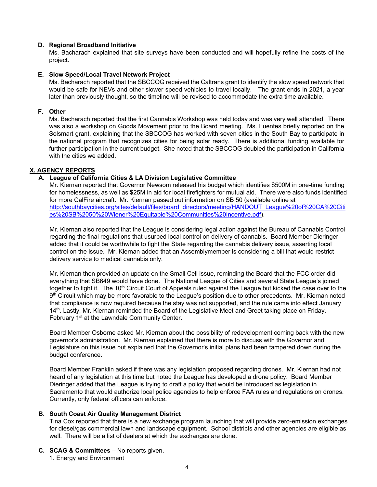#### **D. Regional Broadband Initiative**

Ms. Bacharach explained that site surveys have been conducted and will hopefully refine the costs of the project.

#### **E. Slow Speed/Local Travel Network Project**

Ms. Bacharach reported that the SBCCOG received the Caltrans grant to identify the slow speed network that would be safe for NEVs and other slower speed vehicles to travel locally. The grant ends in 2021, a year later than previously thought, so the timeline will be revised to accommodate the extra time available.

#### **F. Other**

Ms. Bacharach reported that the first Cannabis Workshop was held today and was very well attended. There was also a workshop on Goods Movement prior to the Board meeting. Ms. Fuentes briefly reported on the Solsmart grant, explaining that the SBCCOG has worked with seven cities in the South Bay to participate in the national program that recognizes cities for being solar ready. There is additional funding available for further participation in the current budget. She noted that the SBCCOG doubled the participation in California with the cities we added.

## **X. AGENCY REPORTS**

## **A. League of California Cities & LA Division Legislative Committee**

Mr. Kiernan reported that Governor Newsom released his budget which identifies \$500M in one-time funding for homelessness, as well as \$25M in aid for local firefighters for mutual aid. There were also funds identified for more CalFire aircraft. Mr. Kiernan passed out information on SB 50 (available online at http://southbaycities.org/sites/default/files/board\_directors/meeting/HANDOUT\_League%20of%20CA%20Citi es%20SB%2050%20Wiener%20Equitable%20Communities%20Incentive.pdf).

Mr. Kiernan also reported that the League is considering legal action against the Bureau of Cannabis Control regarding the final regulations that usurped local control on delivery of cannabis. Board Member Dieringer added that it could be worthwhile to fight the State regarding the cannabis delivery issue, asserting local control on the issue. Mr. Kiernan added that an Assemblymember is considering a bill that would restrict delivery service to medical cannabis only.

Mr. Kiernan then provided an update on the Small Cell issue, reminding the Board that the FCC order did everything that SB649 would have done. The National League of Cities and several State League's joined together to fight it. The 10<sup>th</sup> Circuit Court of Appeals ruled against the League but kicked the case over to the 9th Circuit which may be more favorable to the League's position due to other precedents. Mr. Kiernan noted that compliance is now required because the stay was not supported, and the rule came into effect January 14<sup>th</sup>. Lastly, Mr. Kiernan reminded the Board of the Legislative Meet and Greet taking place on Friday, February 1<sup>st</sup> at the Lawndale Community Center.

Board Member Osborne asked Mr. Kiernan about the possibility of redevelopment coming back with the new governor's administration. Mr. Kiernan explained that there is more to discuss with the Governor and Legislature on this issue but explained that the Governor's initial plans had been tampered down during the budget conference.

Board Member Franklin asked if there was any legislation proposed regarding drones. Mr. Kiernan had not heard of any legislation at this time but noted the League has developed a drone policy. Board Member Dieringer added that the League is trying to draft a policy that would be introduced as legislation in Sacramento that would authorize local police agencies to help enforce FAA rules and regulations on drones. Currently, only federal officers can enforce.

## **B. South Coast Air Quality Management District**

Tina Cox reported that there is a new exchange program launching that will provide zero-emission exchanges for diesel/gas commercial lawn and landscape equipment. School districts and other agencies are eligible as well. There will be a list of dealers at which the exchanges are done.

- **C. SCAG & Committees** No reports given.
	- 1. Energy and Environment